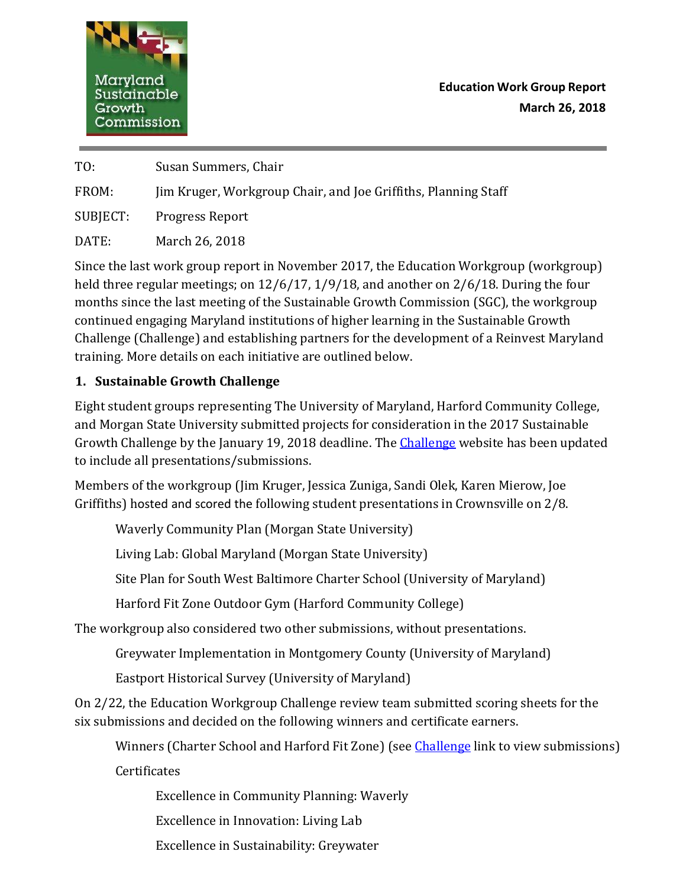

**Education Work Group Report March 26, 2018**

TO: Susan Summers, Chair

FROM: Jim Kruger, Workgroup Chair, and Joe Griffiths, Planning Staff

SUBJECT: Progress Report

DATE: March 26, 2018

Since the last work group report in November 2017, the Education Workgroup (workgroup) held three regular meetings; on 12/6/17, 1/9/18, and another on 2/6/18. During the four months since the last meeting of the Sustainable Growth Commission (SGC), the workgroup continued engaging Maryland institutions of higher learning in the Sustainable Growth Challenge (Challenge) and establishing partners for the development of a Reinvest Maryland training. More details on each initiative are outlined below.

## **1. Sustainable Growth Challenge**

Eight student groups representing The University of Maryland, Harford Community College, and Morgan State University submitted projects for consideration in the 2017 Sustainable Growth [Challenge](http://planning.maryland.gov/YourPart/773/SGChallenge.shtml) by the January 19, 2018 deadline. The Challenge website has been updated to include all presentations/submissions.

Members of the workgroup (Jim Kruger, Jessica Zuniga, Sandi Olek, Karen Mierow, Joe Griffiths) hosted and scored the following student presentations in Crownsville on 2/8.

Waverly Community Plan (Morgan State University)

Living Lab: Global Maryland (Morgan State University)

Site Plan for South West Baltimore Charter School (University of Maryland)

Harford Fit Zone Outdoor Gym (Harford Community College)

The workgroup also considered two other submissions, without presentations.

Greywater Implementation in Montgomery County (University of Maryland)

Eastport Historical Survey (University of Maryland)

On 2/22, the Education Workgroup Challenge review team submitted scoring sheets for the six submissions and decided on the following winners and certificate earners.

Winners (Charter School and Harford Fit Zone) (see *Challenge link to view submissions*)

Certificates

Excellence in Community Planning: Waverly

Excellence in Innovation: Living Lab

Excellence in Sustainability: Greywater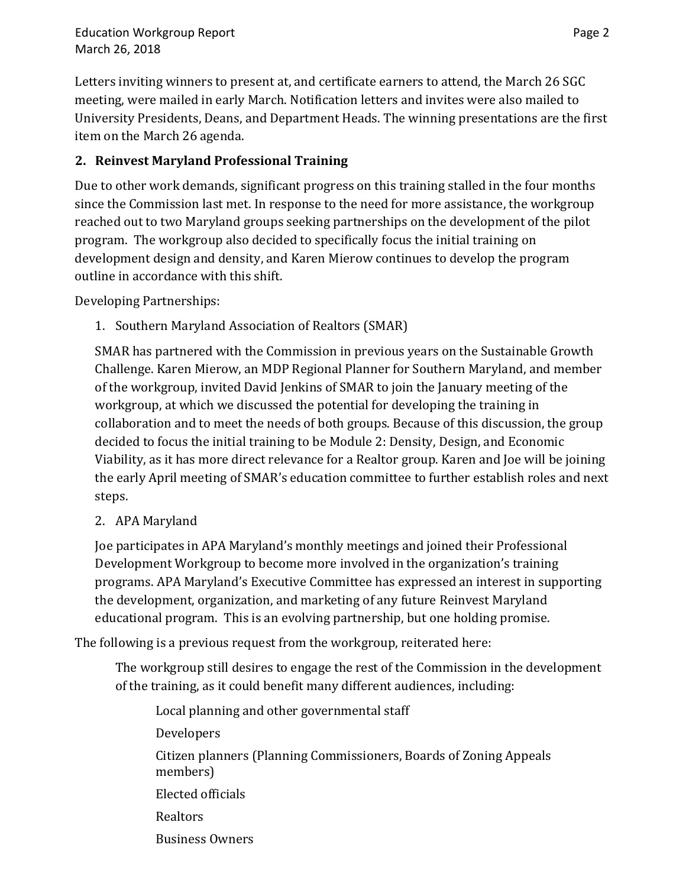Letters inviting winners to present at, and certificate earners to attend, the March 26 SGC meeting, were mailed in early March. Notification letters and invites were also mailed to University Presidents, Deans, and Department Heads. The winning presentations are the first item on the March 26 agenda.

## **2. Reinvest Maryland Professional Training**

Due to other work demands, significant progress on this training stalled in the four months since the Commission last met. In response to the need for more assistance, the workgroup reached out to two Maryland groups seeking partnerships on the development of the pilot program. The workgroup also decided to specifically focus the initial training on development design and density, and Karen Mierow continues to develop the program outline in accordance with this shift.

Developing Partnerships:

1. Southern Maryland Association of Realtors (SMAR)

SMAR has partnered with the Commission in previous years on the Sustainable Growth Challenge. Karen Mierow, an MDP Regional Planner for Southern Maryland, and member of the workgroup, invited David Jenkins of SMAR to join the January meeting of the workgroup, at which we discussed the potential for developing the training in collaboration and to meet the needs of both groups. Because of this discussion, the group decided to focus the initial training to be Module 2: Density, Design, and Economic Viability, as it has more direct relevance for a Realtor group. Karen and Joe will be joining the early April meeting of SMAR's education committee to further establish roles and next steps.

2. APA Maryland

Joe participates in APA Maryland's monthly meetings and joined their Professional Development Workgroup to become more involved in the organization's training programs. APA Maryland's Executive Committee has expressed an interest in supporting the development, organization, and marketing of any future Reinvest Maryland educational program. This is an evolving partnership, but one holding promise.

The following is a previous request from the workgroup, reiterated here:

The workgroup still desires to engage the rest of the Commission in the development of the training, as it could benefit many different audiences, including:

Local planning and other governmental staff Developers Citizen planners (Planning Commissioners, Boards of Zoning Appeals members) Elected officials Realtors Business Owners